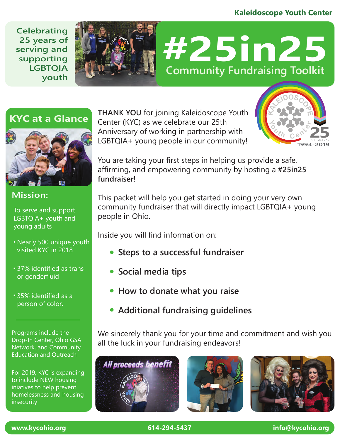#### **Kaleidoscope Youth Center**

**Celebrating 25 years of serving and supporting LGBTQIA youth**



# **#25in25 Community Fundraising Toolkit**

#### **KYC at a Glance**



#### **Mission:**

To serve and support LGBTQIA+ youth and young adults

- Nearly 500 unique youth visited KYC in 2018
- 37% identified as trans or genderfluid
- 35% identified as a person of color.

Programs include the Drop-In Center, Ohio GSA Network, and Community Education and Outreach

For 2019, KYC is expanding to include NEW housing iniatives to help prevent homelessness and housing insecurity

**THANK YOU** for joining Kaleidoscope Youth Center (KYC) as we celebrate our 25th Anniversary of working in partnership with LGBTQIA+ young people in our community!



You are taking your first steps in helping us provide a safe, affirming, and empowering community by hosting a **#25in25 fundraiser!**

This packet will help you get started in doing your very own community fundraiser that will directly impact LGBTQIA+ young people in Ohio.

Inside you will find information on:

- **Steps to a successful fundraiser**
- **Social media tips**
- **How to donate what you raise**
- **Additional fundraising guidelines**

We sincerely thank you for your time and commitment and wish you all the luck in your fundraising endeavors!





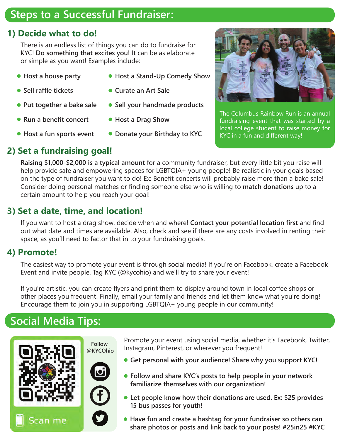# **Steps to a Successful Fundraiser:**

#### **1) Decide what to do!**

There is an endless list of things you can do to fundraise for KYC! **Do something that excites you!** It can be as elaborate or simple as you want! Examples include:

- 
- **Sell raffle tickets**
- **Put together a bake sale**
- **Run a benefit concert**
- **Host a fun sports event**
- **Host a house party Host a Stand-Up Comedy Show**
	- **Curate an Art Sale**
	- **Sell your handmade products**
	- **Host a Drag Show**
	- **Donate your Birthday to KYC**



The Columbus Rainbow Run is an annual fundraising event that was started by a local college student to raise money for KYC in a fun and different way!

### **2) Set a fundraising goal!**

**Raising \$1,000-\$2,000 is a typical amount** for a community fundraiser, but every little bit you raise will help provide safe and empowering spaces for LGBTQIA+ young people! Be realistic in your goals based on the type of fundraiser you want to do! Ex: Benefit concerts will probably raise more than a bake sale! Consider doing personal matches or finding someone else who is willing to **match donations** up to a certain amount to help you reach your goal!

#### **3) Set a date, time, and location!**

If you want to host a drag show, decide when and where! **Contact your potential location first** and find out what date and times are available. Also, check and see if there are any costs involved in renting their space, as you'll need to factor that in to your fundraising goals.

#### **4) Promote!**

The easiest way to promote your event is through social media! If you're on Facebook, create a Facebook Event and invite people. Tag KYC (@kycohio) and we'll try to share your event!

If you're artistic, you can create flyers and print them to display around town in local coffee shops or other places you frequent! Finally, email your family and friends and let them know what you're doing! Encourage them to join you in supporting LGBTQIA+ young people in our community!

# **Social Media Tips:**



Promote your event using social media, whether it's Facebook, Twitter, Instagram, Pinterest, or wherever you frequent!

- **Get personal with your audience! Share why you support KYC!**
- **Follow and share KYC's posts to help people in your network familiarize themselves with our organization!**
- **Let people know how their donations are used. Ex: \$25 provides 15 bus passes for youth!**
- **Have fun and create a hashtag for your fundraiser so others can share photos or posts and link back to your posts! #25in25 #KYC**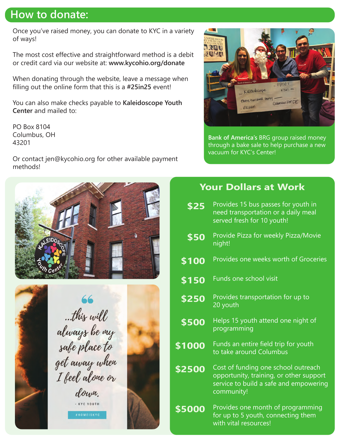### **How to donate:**

Once you've raised money, you can donate to KYC in a variety of ways!

The most cost effective and straightforward method is a debit or credit card via our website at: **www.kycohio.org/donate**

When donating through the website, leave a message when filling out the online form that this is a **#25in25** event!

You can also make checks payable to **Kaleidoscope Youth Center** and mailed to:

PO Box 8104 Columbus, OH 43201

Or contact jen@kycohio.org for other available payment methods!







**Bank of America's** BRG group raised money through a bake sale to help purchase a new vacuum for KYC's Center!

#### **Your Dollars at Work**

Provides 15 bus passes for youth in need transportation or a daily meal served fresh for 10 youth! **\$25** Provide Pizza for weekly Pizza/Movie \$50 Provid<br>!night \$100 Provides one weeks worth of Groceries \$150 Funds one school visit Provides transportation for up to \$250 Provides<br>20 youth Cost of funding one school outreach opportunity, training, or other support service to build a safe and empowering community! **\$2500** Provides one month of programming for up to 5 youth, connecting them with vital resources! **\$5000** Helps 15 youth attend one night of programming **\$500** \$1000 Funds an entire field trip for youth to take around Columbus